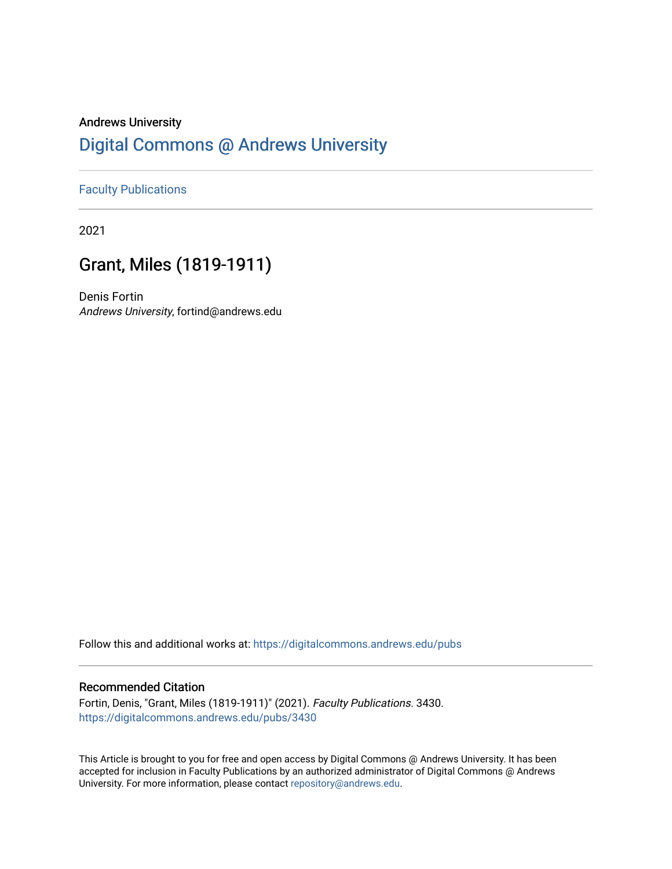## Andrews University [Digital Commons @ Andrews University](https://digitalcommons.andrews.edu/)

#### [Faculty Publications](https://digitalcommons.andrews.edu/pubs)

2021

# Grant, Miles (1819-1911)

Denis Fortin Andrews University, fortind@andrews.edu

Follow this and additional works at: [https://digitalcommons.andrews.edu/pubs](https://digitalcommons.andrews.edu/pubs?utm_source=digitalcommons.andrews.edu%2Fpubs%2F3430&utm_medium=PDF&utm_campaign=PDFCoverPages) 

#### Recommended Citation

Fortin, Denis, "Grant, Miles (1819-1911)" (2021). Faculty Publications. 3430. [https://digitalcommons.andrews.edu/pubs/3430](https://digitalcommons.andrews.edu/pubs/3430?utm_source=digitalcommons.andrews.edu%2Fpubs%2F3430&utm_medium=PDF&utm_campaign=PDFCoverPages) 

This Article is brought to you for free and open access by Digital Commons @ Andrews University. It has been accepted for inclusion in Faculty Publications by an authorized administrator of Digital Commons @ Andrews University. For more information, please contact [repository@andrews.edu](mailto:repository@andrews.edu).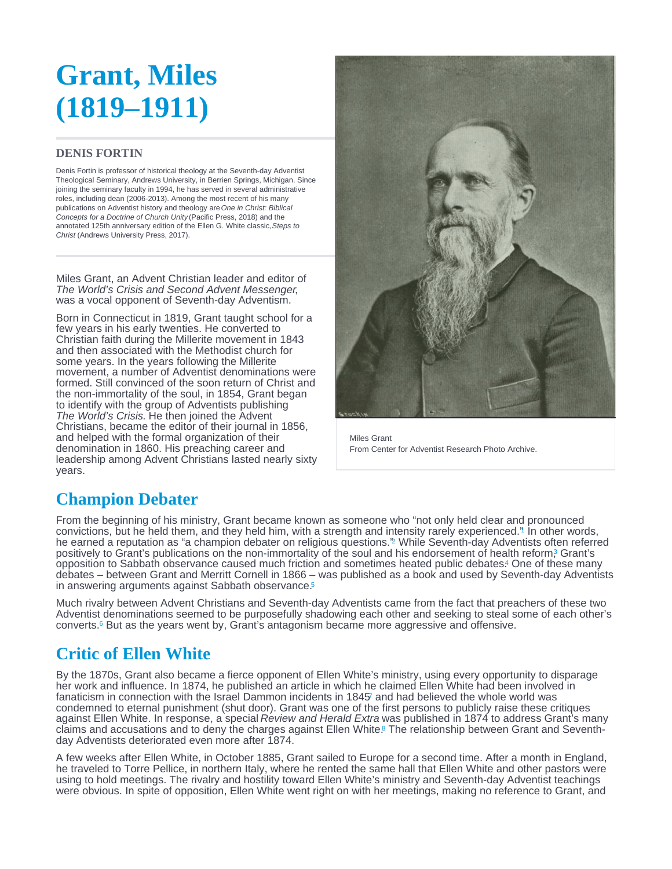# <span id="page-1-0"></span>**Grant, Miles (1819–1911)**

#### **DENIS FORTIN**

Denis Fortin is professor of historical theology at the Seventh-day Adventist Theological Seminary, Andrews University, in Berrien Springs, Michigan. Since joining the seminary faculty in 1994, he has served in several administrative roles, including dean (2006-2013). Among the most recent of his many publications on Adventist history and theology are One in Christ: Biblical Concepts for a Doctrine of Church Unity (Pacific Press, 2018) and the annotated 125th anniversary edition of the Ellen G. White classic, Steps to Christ (Andrews University Press, 2017).

Miles Grant, an Advent Christian leader and editor of The World's Crisis and Second Advent Messenger, was a vocal opponent of Seventh-day Adventism.

Born in Connecticut in 1819, Grant taught school for a few years in his early twenties. He converted to Christian faith during the Millerite movement in 1843 and then associated with the Methodist church for some years. In the years following the Millerite movement, a number of Adventist denominations were formed. Still convinced of the soon return of Christ and the non-immortality of the soul, in 1854, Grant began to identify with the group of Adventists publishing The World's Crisis. He then joined the Advent Christians, became the editor of their journal in 1856, and helped with the formal organization of their denomination in 1860. His preaching career and leadership among Advent Christians lasted nearly sixty years.



Miles Grant From Center for Adventist Research Photo Archive.

## **Champion Debater**

From the beginning of his ministry, Grant became known as someone who "not only held clear and pronounced convictions, but he held them, and they held him, with a strength and intensity rarely experienced.["](#page-2-0) In other words, 1 he earned a reputation as "a champion debater on religious questions.["](#page-2-0) While Seventh-day Adventists often referred positively to Grant's publications on the non-immortality of the soul and his endorsement of health reform<sub>?</sub> Grant's opposition to Sabbath observance caused much friction and sometimes heated public debates[.](#page-3-0) One of these many debates – between Grant and Merritt Cornell in 1866 – was published as a book and used by Seventh-day Adventists in answering arguments against Sabbath observance.<sup>[5](#page-3-0)</sup>

Much rivalry between Advent Christians and Seventh-day Adventists came from the fact that preachers of these two Adventist denominations seemed to be purposefully shadowing each other and seeking to steal some of each other's converts. $6$ But as the years went by, Grant's antagonism became more aggressive and offensive.

## **Critic of Ellen White**

By the 1870s, Grant also became a fierce opponent of Ellen White's ministry, using every opportunity to disparage her work and influence. In 1874, he published an article in which he claimed Ellen White had been involved in fanaticism in connection with the Israel Dammon incidents in 184[5](#page-3-0)' and had believed the whole world was condemned to eternal punishment (shut door). Grant was one of the first persons to publicly raise these critiques against Ellen White. In response, a special Review and Herald Extra was published in 1874 to address Grant's many claims and accusations and to deny the charges against Ellen White[.](#page-3-0)<sup>8</sup> The relationship between Grant and Seventhday Adventists deteriorated even more after 1874.

A few weeks after Ellen White, in October 1885, Grant sailed to Europe for a second time. After a month in England, he traveled to Torre Pellice, in northern Italy, where he rented the same hall that Ellen White and other pastors were using to hold meetings. The rivalry and hostility toward Ellen White's ministry and Seventh-day Adventist teachings were obvious. In spite of opposition, Ellen White went right on with her meetings, making no reference to Grant, and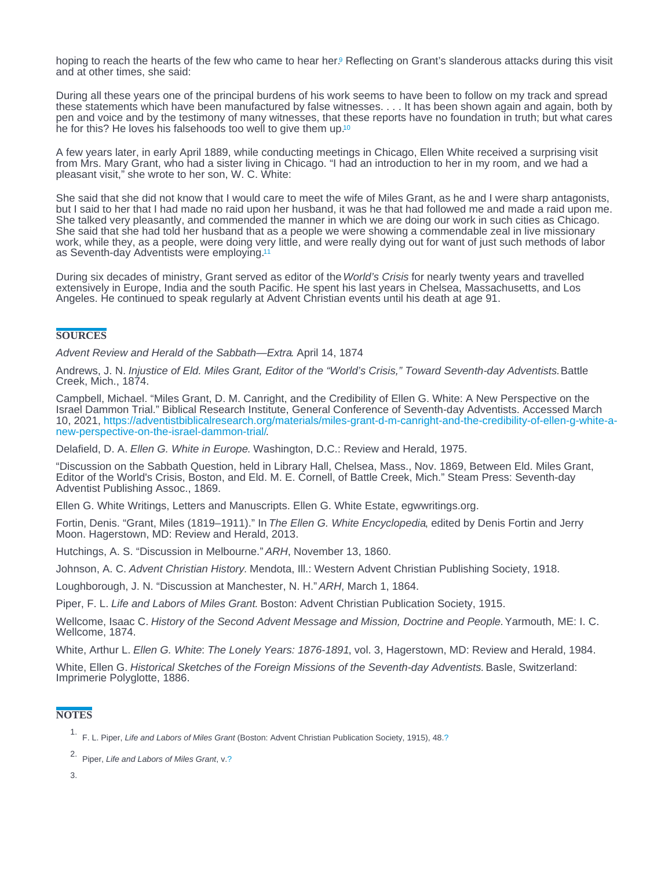<span id="page-2-0"></span>hoping to reach the hearts of the few who came to hear her[.](#page-3-0)<sup>9</sup> Reflecting on Grant's slanderous attacks during this visit and at other times, she said:

During all these years one of the principal burdens of his work seems to have been to follow on my track and spread these statements which have been manufactured by false witnesses. . . . It has been shown again and again, both by pen and voice and by the testimony of many witnesses, that these reports have no foundation in truth; but what cares he for this? He loves his falsehoods too well to give them up.<sup>[10](#page-3-0)</sup>

A few years later, in early April 1889, while conducting meetings in Chicago, Ellen White received a surprising visit from Mrs. Mary Grant, who had a sister living in Chicago. "I had an introduction to her in my room, and we had a pleasant visit," she wrote to her son, W. C. White:

She said that she did not know that I would care to meet the wife of Miles Grant, as he and I were sharp antagonists, but I said to her that I had made no raid upon her husband, it was he that had followed me and made a raid upon me. She talked very pleasantly, and commended the manner in which we are doing our work in such cities as Chicago. She said that she had told her husband that as a people we were showing a commendable zeal in live missionary work, while they, as a people, were doing very little, and were really dying out for want of just such methods of labor as Seventh-day Adventists were employing.<sup>[11](#page-3-0)</sup>

During six decades of ministry, Grant served as editor of the World's Crisis for nearly twenty years and travelled extensively in Europe, India and the south Pacific. He spent his last years in Chelsea, Massachusetts, and Los Angeles. He continued to speak regularly at Advent Christian events until his death at age 91.

#### **SOURCES**

Advent Review and Herald of the Sabbath—Extra. April 14, 1874

Andrews, J. N. Injustice of Eld. Miles Grant, Editor of the "World's Crisis," Toward Seventh-day Adventists. Battle Creek, Mich., 1874.

Campbell, Michael. "Miles Grant, D. M. Canright, and the Credibility of Ellen G. White: A New Perspective on the Israel Dammon Trial." Biblical Research Institute, General Conference of Seventh-day Adventists. Accessed March 10, 2021, [https://adventistbiblicalresearch.org/materials/miles-grant-d-m-canright-and-the-credibility-of-ellen-g-white-a-](https://adventistbiblicalresearch.org/materials/miles-grant-d-m-canright-and-the-credibility-of-ellen-g-white-a-new-perspective-on-the-israel-dammon-trial/). [new-perspective-on-the-israel-dammon-trial/](https://adventistbiblicalresearch.org/materials/miles-grant-d-m-canright-and-the-credibility-of-ellen-g-white-a-new-perspective-on-the-israel-dammon-trial/)

Delafield, D. A. Ellen G. White in Europe. Washington, D.C.: Review and Herald, 1975.

"Discussion on the Sabbath Question, held in Library Hall, Chelsea, Mass., Nov. 1869, Between Eld. Miles Grant, Editor of the World's Crisis, Boston, and Eld. M. E. Cornell, of Battle Creek, Mich." Steam Press: Seventh-day Adventist Publishing Assoc., 1869.

Ellen G. White Writings, Letters and Manuscripts. Ellen G. White Estate, egwwritings.org.

Fortin, Denis. "Grant, Miles (1819–1911)." In The Ellen G. White Encyclopedia, edited by Denis Fortin and Jerry Moon. Hagerstown, MD: Review and Herald, 2013.

Hutchings, A. S. "Discussion in Melbourne." ARH, November 13, 1860.

Johnson, A. C. Advent Christian History. Mendota, III.: Western Advent Christian Publishing Society, 1918.

Loughborough, J. N. "Discussion at Manchester, N. H." ARH, March 1, 1864.

Piper, F. L. Life and Labors of Miles Grant. Boston: Advent Christian Publication Society, 1915.

Wellcome, Isaac C. History of the Second Advent Message and Mission, Doctrine and People. Yarmouth, ME: I. C. Wellcome, 1874.

White, Arthur L. Ellen G. White: The Lonely Years: 1876-1891, vol. 3, Hagerstown, MD: Review and Herald, 1984.

White, Ellen G. Historical Sketches of the Foreign Missions of the Seventh-day Adventists. Basle, Switzerland: Imprimerie Polyglotte, 1886.

#### **NOTES**

<sup>&</sup>lt;sup>1.</sup> F. L. Piper, Life and Labors of Miles Grant (Boston: Advent Christian Publication Society, 1915), 48.[?](#page-1-0)

<sup>2.</sup> Piper, Life and Labors of Miles Grant, v[.?](#page-1-0)